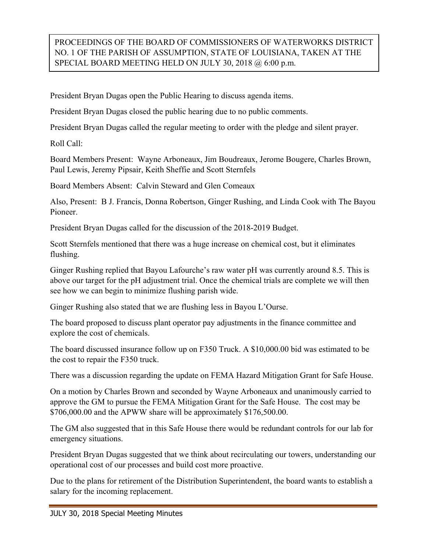## PROCEEDINGS OF THE BOARD OF COMMISSIONERS OF WATERWORKS DISTRICT NO. 1 OF THE PARISH OF ASSUMPTION, STATE OF LOUISIANA, TAKEN AT THE SPECIAL BOARD MEETING HELD ON JULY 30, 2018 @ 6:00 p.m.

President Bryan Dugas open the Public Hearing to discuss agenda items.

President Bryan Dugas closed the public hearing due to no public comments.

President Bryan Dugas called the regular meeting to order with the pledge and silent prayer.

Roll Call:

Board Members Present: Wayne Arboneaux, Jim Boudreaux, Jerome Bougere, Charles Brown, Paul Lewis, Jeremy Pipsair, Keith Sheffie and Scott Sternfels

Board Members Absent: Calvin Steward and Glen Comeaux

Also, Present: B J. Francis, Donna Robertson, Ginger Rushing, and Linda Cook with The Bayou Pioneer.

President Bryan Dugas called for the discussion of the 2018-2019 Budget.

Scott Sternfels mentioned that there was a huge increase on chemical cost, but it eliminates flushing.

Ginger Rushing replied that Bayou Lafourche's raw water pH was currently around 8.5. This is above our target for the pH adjustment trial. Once the chemical trials are complete we will then see how we can begin to minimize flushing parish wide.

Ginger Rushing also stated that we are flushing less in Bayou L'Ourse.

The board proposed to discuss plant operator pay adjustments in the finance committee and explore the cost of chemicals.

The board discussed insurance follow up on F350 Truck. A \$10,000.00 bid was estimated to be the cost to repair the F350 truck.

There was a discussion regarding the update on FEMA Hazard Mitigation Grant for Safe House.

On a motion by Charles Brown and seconded by Wayne Arboneaux and unanimously carried to approve the GM to pursue the FEMA Mitigation Grant for the Safe House. The cost may be \$706,000.00 and the APWW share will be approximately \$176,500.00.

The GM also suggested that in this Safe House there would be redundant controls for our lab for emergency situations.

President Bryan Dugas suggested that we think about recirculating our towers, understanding our operational cost of our processes and build cost more proactive.

Due to the plans for retirement of the Distribution Superintendent, the board wants to establish a salary for the incoming replacement.